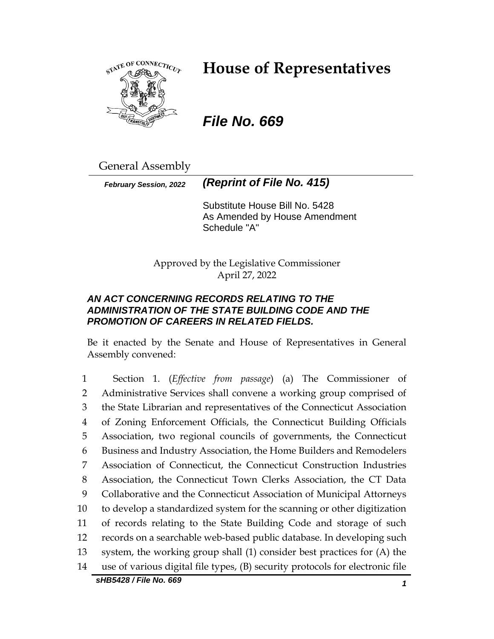

# **House of Representatives**

# *File No. 669*

General Assembly

*February Session, 2022 (Reprint of File No. 415)*

Substitute House Bill No. 5428 As Amended by House Amendment Schedule "A"

Approved by the Legislative Commissioner April 27, 2022

## *AN ACT CONCERNING RECORDS RELATING TO THE ADMINISTRATION OF THE STATE BUILDING CODE AND THE PROMOTION OF CAREERS IN RELATED FIELDS.*

Be it enacted by the Senate and House of Representatives in General Assembly convened:

 Section 1. (*Effective from passage*) (a) The Commissioner of Administrative Services shall convene a working group comprised of the State Librarian and representatives of the Connecticut Association of Zoning Enforcement Officials, the Connecticut Building Officials Association, two regional councils of governments, the Connecticut Business and Industry Association, the Home Builders and Remodelers Association of Connecticut, the Connecticut Construction Industries Association, the Connecticut Town Clerks Association, the CT Data Collaborative and the Connecticut Association of Municipal Attorneys to develop a standardized system for the scanning or other digitization of records relating to the State Building Code and storage of such records on a searchable web-based public database. In developing such system, the working group shall (1) consider best practices for (A) the use of various digital file types, (B) security protocols for electronic file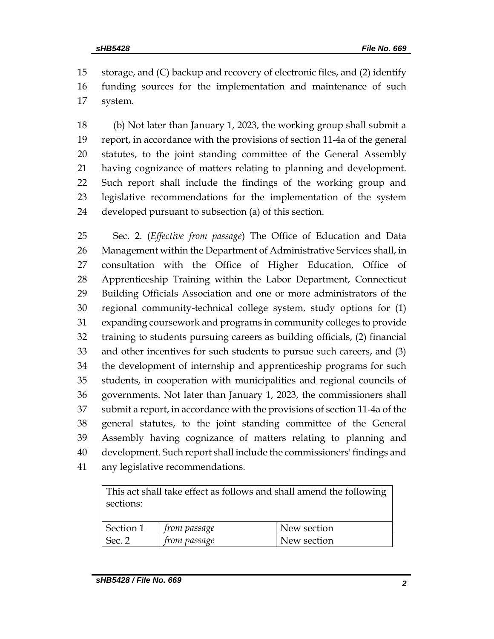storage, and (C) backup and recovery of electronic files, and (2) identify funding sources for the implementation and maintenance of such system.

 (b) Not later than January 1, 2023, the working group shall submit a report, in accordance with the provisions of section 11-4a of the general statutes, to the joint standing committee of the General Assembly having cognizance of matters relating to planning and development. Such report shall include the findings of the working group and legislative recommendations for the implementation of the system developed pursuant to subsection (a) of this section.

 Sec. 2. (*Effective from passage*) The Office of Education and Data Management within the Department of Administrative Services shall, in consultation with the Office of Higher Education, Office of Apprenticeship Training within the Labor Department, Connecticut Building Officials Association and one or more administrators of the regional community-technical college system, study options for (1) expanding coursework and programs in community colleges to provide training to students pursuing careers as building officials, (2) financial and other incentives for such students to pursue such careers, and (3) the development of internship and apprenticeship programs for such students, in cooperation with municipalities and regional councils of governments. Not later than January 1, 2023, the commissioners shall submit a report, in accordance with the provisions of section 11-4a of the general statutes, to the joint standing committee of the General Assembly having cognizance of matters relating to planning and development. Such report shall include the commissioners' findings and any legislative recommendations.

This act shall take effect as follows and shall amend the following sections:

| Section 1 | <i>from passage</i> | New section |
|-----------|---------------------|-------------|
| Sec.      | <i>from passage</i> | New section |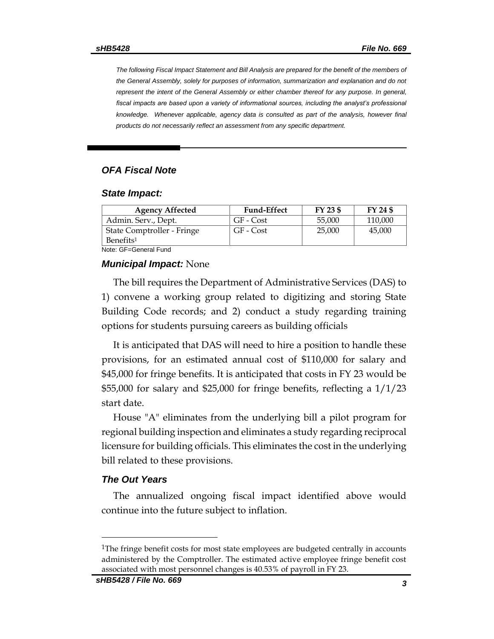*The following Fiscal Impact Statement and Bill Analysis are prepared for the benefit of the members of the General Assembly, solely for purposes of information, summarization and explanation and do not represent the intent of the General Assembly or either chamber thereof for any purpose. In general, fiscal impacts are based upon a variety of informational sources, including the analyst's professional* knowledge. Whenever applicable, agency data is consulted as part of the analysis, however final *products do not necessarily reflect an assessment from any specific department.*

### *OFA Fiscal Note*

#### *State Impact:*

| <b>Agency Affected</b>     | <b>Fund-Effect</b> | FY 23 \$ | FY 24 \$ |  |  |
|----------------------------|--------------------|----------|----------|--|--|
| Admin. Serv., Dept.        | GF - Cost          | 55,000   | 110,000  |  |  |
| State Comptroller - Fringe | GF - Cost          | 25,000   | 45,000   |  |  |
| Benefits <sup>1</sup>      |                    |          |          |  |  |
| Note: GF=General Fund      |                    |          |          |  |  |

#### *Municipal Impact:* None

The bill requires the Department of Administrative Services (DAS) to 1) convene a working group related to digitizing and storing State Building Code records; and 2) conduct a study regarding training options for students pursuing careers as building officials

It is anticipated that DAS will need to hire a position to handle these provisions, for an estimated annual cost of \$110,000 for salary and \$45,000 for fringe benefits. It is anticipated that costs in FY 23 would be \$55,000 for salary and \$25,000 for fringe benefits, reflecting a 1/1/23 start date.

House "A" eliminates from the underlying bill a pilot program for regional building inspection and eliminates a study regarding reciprocal licensure for building officials. This eliminates the cost in the underlying bill related to these provisions.

### *The Out Years*

The annualized ongoing fiscal impact identified above would continue into the future subject to inflation.

<sup>&</sup>lt;sup>1</sup>The fringe benefit costs for most state employees are budgeted centrally in accounts administered by the Comptroller. The estimated active employee fringe benefit cost associated with most personnel changes is 40.53% of payroll in FY 23.